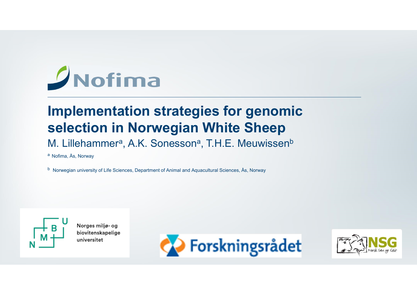

#### **Implementation strategies for genomic selection in Norwegian White Sheep**

#### M. Lillehammer<sup>a</sup>, A.K. Sonesson<sup>a</sup>, T.H.E. Meuwissen<sup>b</sup>

<sup>a</sup> Nofima, Ås, Norway

<sup>b</sup> Norwegian university of Life Sciences, Department of Animal and Aquacultural Sciences, Ås, Norway



Norges miljø- og biovitenskapelige universitet



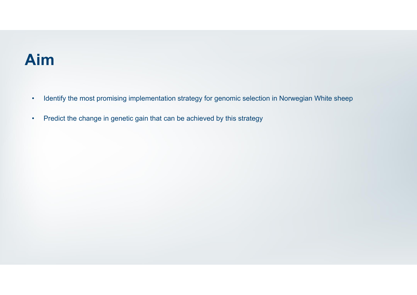## **Aim**

- •Identify the most promising implementation strategy for genomic selection in Norwegian White sheep
- •Predict the change in genetic gain that can be achieved by this strategy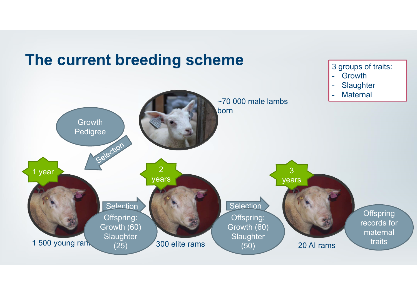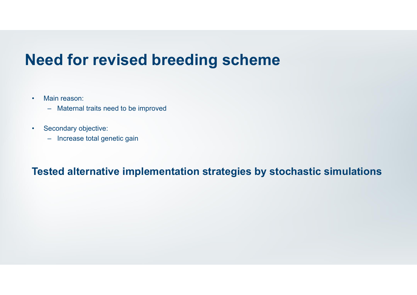## **Need for revised breeding scheme**

- • Main reason:
	- Maternal traits need to be improved
- • Secondary objective:
	- Increase total genetic gain

#### **Tested alternative implementation strategies by stochastic simulations**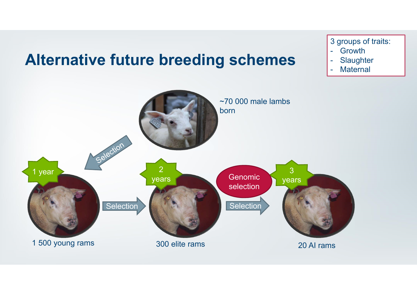## **Alternative future breeding schemes**



- 3 groups of traits:
- -Growth
- -**Slaughter**
- -**Maternal**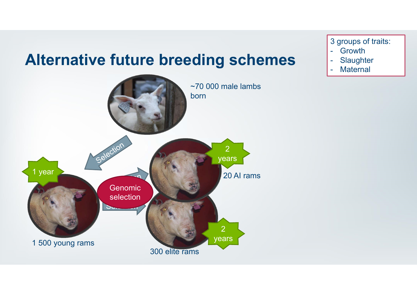## **Alternative future breeding schemes**



- 3 groups of traits:
- -**Growth**
- -**Slaughter**
- -**Maternal**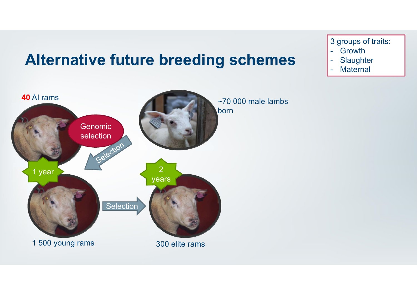# **Alternative future breeding schemes**



- 3 groups of traits:
- -**Growth**
- -**Slaughter**
- -**Maternal**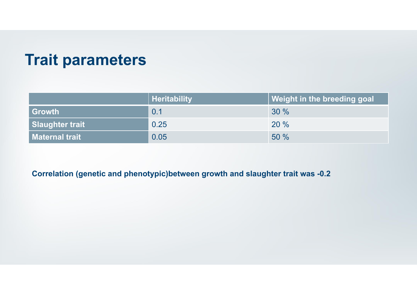#### **Trait parameters**

|                       | <b>Heritability</b> | Weight in the breeding goal |
|-----------------------|---------------------|-----------------------------|
| <b>Growth</b>         | 0.1                 | 30%                         |
| Slaughter trait       | 0.25                | 20%                         |
| <b>Maternal trait</b> | 0.05                | 50%                         |

**Correlation (genetic and phenotypic)between growth and slaughter trait was -0.2**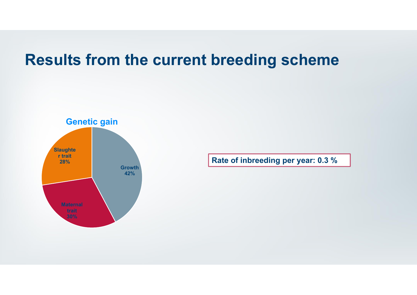### **Results from the current breeding scheme**



**Rate of inbreeding per year: 0.3 %**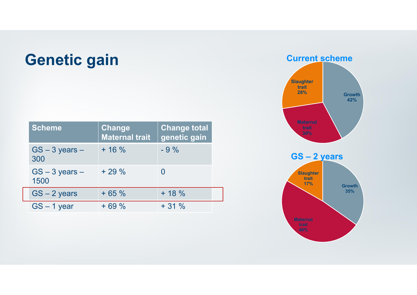# **Genetic gain**

| <b>Scheme</b>              | <b>Change</b><br><b>Maternal trait</b> | <b>Change total</b><br>genetic gain |  |
|----------------------------|----------------------------------------|-------------------------------------|--|
| $GS - 3$ years $-$<br>300  | $+16%$                                 | $-9\%$                              |  |
| $GS - 3$ years $-$<br>1500 | $+29%$                                 |                                     |  |
| $GS - 2$ years             | $+65%$                                 | $+18%$                              |  |
| $GS - 1$ year              | $+69%$                                 | $+31%$                              |  |



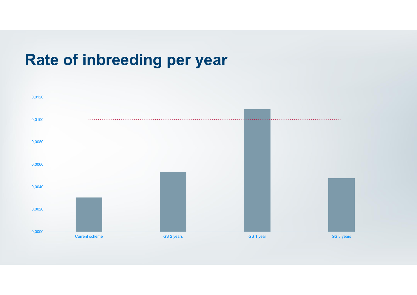## **Rate of inbreeding per year**